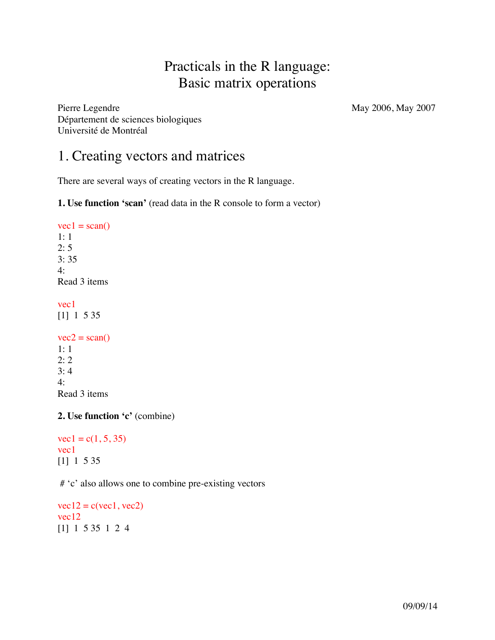# Practicals in the R language: Basic matrix operations

Pierre Legendre May 2006, May 2007 Département de sciences biologiques Université de Montréal

# 1. Creating vectors and matrices

There are several ways of creating vectors in the R language.

**1. Use function 'scan'** (read data in the R console to form a vector)

 $vec1 = scan()$ 1: 1 2: 5 3: 35 4: Read 3 items vec1

[1] 1 5 35

```
vec2 = scan()1: 1
2: 2
3: 4
4: 
Read 3 items
```
**2. Use function 'c'** (combine)

 $vec1 = c(1, 5, 35)$ vec1 [1] 1 5 35

# 'c' also allows one to combine pre-existing vectors

 $vec12 = c(vec1, vec2)$ vec12 [1] 1 5 35 1 2 4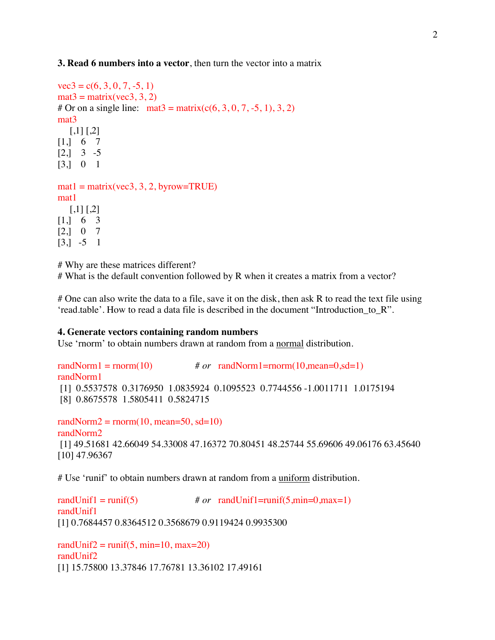#### **3. Read 6 numbers into a vector**, then turn the vector into a matrix

```
vec3 = c(6, 3, 0, 7, -5, 1)mat3 = matrix(vec3, 3, 2)# Or on a single line: mat3 = matrix(c(6, 3, 0, 7, -5, 1), 3, 2)
mat3
  [,1] [,2][1, 6 7[2,] 3 -5
[3,] 0 1
```

```
mat1 = matrix(vec3, 3, 2, byrow = TRUE)mat1
  [,1] [,2][1, 6, 3][2,] 0 7
```
[3,] -5 1

# Why are these matrices different?

# What is the default convention followed by R when it creates a matrix from a vector?

# One can also write the data to a file, save it on the disk, then ask R to read the text file using 'read.table'. How to read a data file is described in the document "Introduction\_to\_R".

#### **4. Generate vectors containing random numbers**

Use 'rnorm' to obtain numbers drawn at random from a normal distribution.

```
r \text{ and } \text{Norm}(10) # or r \text{ and } \text{Norm}(10, \text{mean}=0, \text{sd}=1)randNorm1
[1] 0.5537578 0.3176950 1.0835924 0.1095523 0.7744556 -1.0011711 1.0175194
[8] 0.8675578 1.5805411 0.5824715
```

```
randNorm2 = rnorm(10, mean=50, sd=10)randNorm2
[1] 49.51681 42.66049 54.33008 47.16372 70.80451 48.25744 55.69606 49.06176 63.45640
[10] 47.96367
```
# Use 'runif' to obtain numbers drawn at random from a uniform distribution.

 $r$ andUnif1 = runif(5)  $\# or$  randUnif1=runif(5,min=0,max=1) randUnif1 [1] 0.7684457 0.8364512 0.3568679 0.9119424 0.9935300

randUnif2 = runif(5, min=10, max=20) randUnif2 [1] 15.75800 13.37846 17.76781 13.36102 17.49161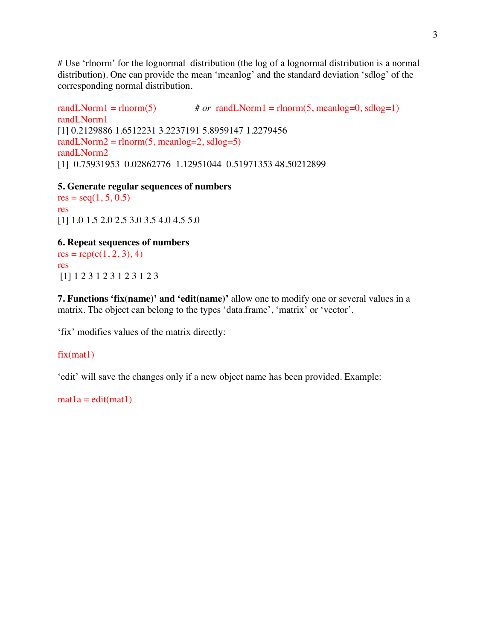# Use 'rlnorm' for the lognormal distribution (the log of a lognormal distribution is a normal distribution). One can provide the mean 'meanlog' and the standard deviation 'sdlog' of the corresponding normal distribution.

randLNorm1 = rlnorm(5)  $\# or \text{ randLNorm1} = \text{rlnorm}(5, \text{meanlog=0}, \text{sdlog=1})$ randLNorm1 [1] 0.2129886 1.6512231 3.2237191 5.8959147 1.2279456 randLNorm2 =  $rlnorm(5, meanlog=2, sdlog=5)$ randLNorm2 [1] 0.75931953 0.02862776 1.12951044 0.51971353 48.50212899

**5. Generate regular sequences of numbers**

 $res = seq(1, 5, 0.5)$ res [1] 1.0 1.5 2.0 2.5 3.0 3.5 4.0 4.5 5.0

**6. Repeat sequences of numbers**

 $res = rep(c(1, 2, 3), 4)$ res [1] 1 2 3 1 2 3 1 2 3 1 2 3

**7. Functions 'fix(name)' and 'edit(name)'** allow one to modify one or several values in a matrix. The object can belong to the types 'data.frame', 'matrix' or 'vector'.

'fix' modifies values of the matrix directly:

#### fix(mat1)

'edit' will save the changes only if a new object name has been provided. Example:

 $mat1a = edit(mat1)$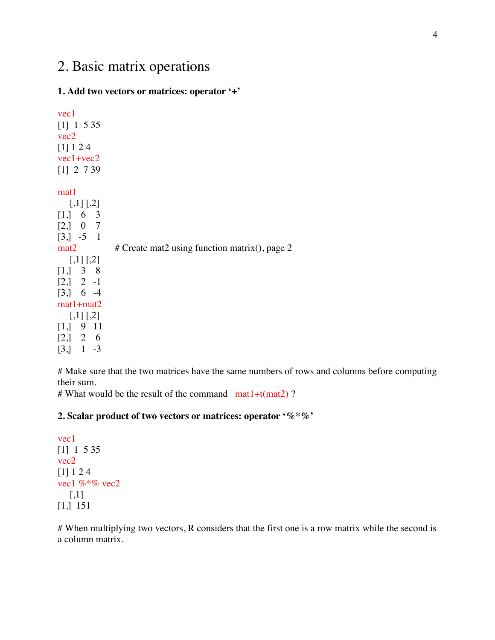# 2. Basic matrix operations

## **1. Add two vectors or matrices: operator '+'**

vec1 [1] 1 5 35 vec2 [1] 1 2 4 vec1+vec2 [1] 2 7 39

mat1

| $[,1]$ [,2]                                  |                                               |
|----------------------------------------------|-----------------------------------------------|
| [1, 6 3                                      |                                               |
| [2, 0 7                                      |                                               |
| $\begin{bmatrix} 3 \\ -5 \\ 1 \end{bmatrix}$ |                                               |
| $\text{mat2}$                                | # Create mat2 using function matrix(), page 2 |
| $[1,1]$ [.2]                                 |                                               |
| $[1, 3 \ 8]$                                 |                                               |
| $\begin{bmatrix} 2 \\ 1 \end{bmatrix}$ 2 -1  |                                               |
| [3, 6, 4]                                    |                                               |
| $mat1 + mat2$                                |                                               |
| $[1,1]$ [.2]                                 |                                               |
| [1, 9, 11]                                   |                                               |
| [2,] 2 6                                     |                                               |
| $\left[3, \right]$<br>$1 - 3$                |                                               |

# Make sure that the two matrices have the same numbers of rows and columns before computing their sum.

# What would be the result of the command  $mat1+t(mat2)$ ?

## **2. Scalar product of two vectors or matrices: operator '%\*%'**

vec1 [1] 1 5 35 vec2 [1] 1 2 4 vec1 %\*% vec2  $\left[ 1,1\right]$ [1,] 151

# When multiplying two vectors, R considers that the first one is a row matrix while the second is a column matrix.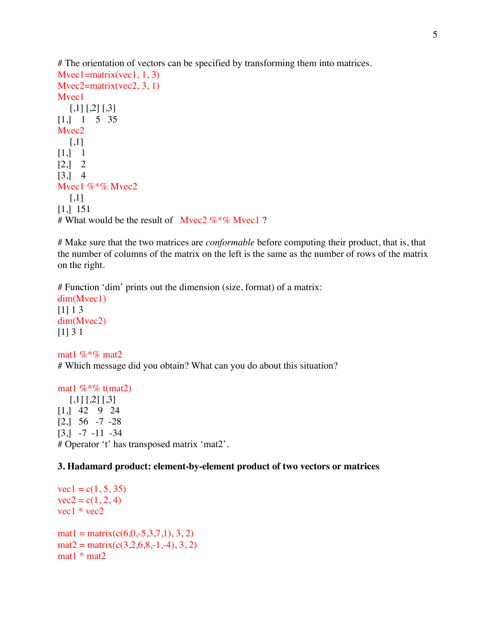# The orientation of vectors can be specified by transforming them into matrices.  $Mvec1=matrix(vec1, 1, 3)$  $Mvec2=matrix(vec2, 3, 1)$ Mvec<sub>1</sub>  $[$ ,1] [,2] [,3] [1,] 1 5 35 Mvec<sub>2</sub>  $[$ ,1]  $[1, 1]$  $[2, 2]$ [3,] 4 Mvec1 %\*% Mvec2  $\lceil$ ,1] [1,] 151 # What would be the result of Myec2  $\%$  \*% Myec1 ?

# Make sure that the two matrices are *conformable* before computing their product, that is, that the number of columns of the matrix on the left is the same as the number of rows of the matrix on the right.

# Function 'dim' prints out the dimension (size, format) of a matrix: dim(Mvec1)  $[1] 1 3$ dim(Mvec2) [1] 3 1

mat1 %\*% mat2 # Which message did you obtain? What can you do about this situation?

mat1  $\%$ <sup>\*</sup>% t(mat2)  $[,1]$   $[,2]$   $[,3]$ [1,] 42 9 24  $[2, 56 -7 -28]$ [3,] -7 -11 -34 # Operator 't' has transposed matrix 'mat2'.

**3. Hadamard product: element-by-element product of two vectors or matrices**

 $vec1 = c(1, 5, 35)$  $vec2 = c(1, 2, 4)$  $vec1 * vec2$  $mat1 = matrix(c(6, 0, -5, 3, 7, 1), 3, 2)$  $mat2 = matrix(c(3, 2, 6, 8, -1, -4), 3, 2)$ mat1 \* mat2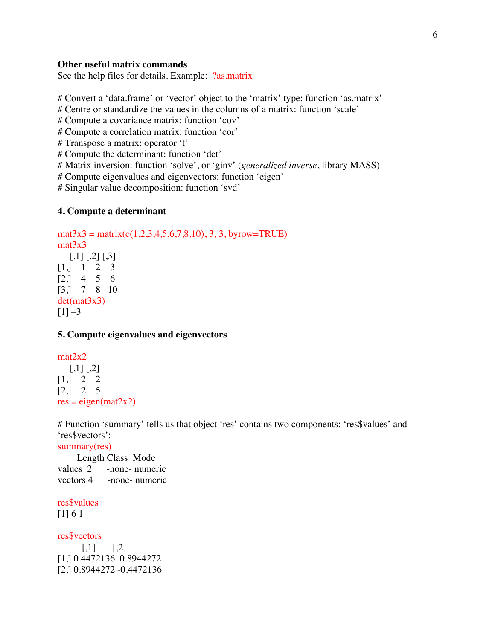#### **Other useful matrix commands**

See the help files for details. Example: ?as.matrix

# Convert a 'data.frame' or 'vector' object to the 'matrix' type: function 'as.matrix'

# Centre or standardize the values in the columns of a matrix: function 'scale'

# Compute a covariance matrix: function 'cov'

# Compute a correlation matrix: function 'cor'

# Transpose a matrix: operator 't'

# Compute the determinant: function 'det'

# Matrix inversion: function 'solve', or 'ginv' (*generalized inverse*, library MASS)

# Compute eigenvalues and eigenvectors: function 'eigen'

# Singular value decomposition: function 'svd'

#### **4. Compute a determinant**

 $\text{mat3x3} = \text{matrix}(c(1, 2, 3, 4, 5, 6, 7, 8, 10), 3, 3, \text{byrow} = \text{TRUE})$ mat<sub>3x3</sub>  $[,1]$   $[,2]$   $[,3]$  $[1, 1 1 2 3]$ [2,] 4 5 6 [3,] 7 8 10 det(mat3x3)  $[1]$  –3

#### **5. Compute eigenvalues and eigenvectors**

## mat2x2  $[,1]$   $[,2]$  $[1, 2 \ 2 \ 2]$  $[2, 2, 5]$  $res = eigen(max2x2)$

# Function 'summary' tells us that object 'res' contains two components: 'res\$values' and 'res\$vectors':

summary(res)

 Length Class Mode values 2 -none- numeric vectors 4 -none- numeric

res\$values

[1] 6 1

res\$vectors

 $[0,1]$   $[0,2]$ [1,] 0.4472136 0.8944272 [2,] 0.8944272 -0.4472136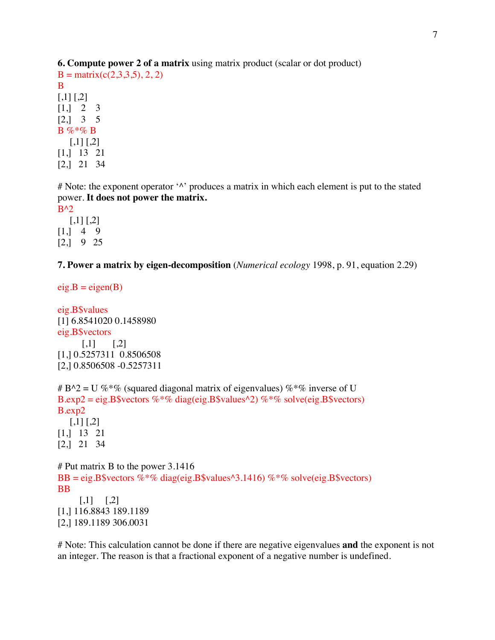**6. Compute power 2 of a matrix** using matrix product (scalar or dot product)

 $B = matrix(c(2,3,3,5), 2, 2)$ B  $[,1]$   $[,2]$  $[1, 2, 3]$ [2,] 3 5  $B \%^* \% B$  $[,1]$   $[,2]$ [1,] 13 21 [2,] 21 34

 $#$  Note: the exponent operator  $\wedge$  produces a matrix in which each element is put to the stated power. **It does not power the matrix.**

 $B^{\wedge}2$  $[,1]$   $[,2]$  $[1, 4, 9]$ [2,] 9 25

**7. Power a matrix by eigen-decomposition** (*Numerical ecology* 1998, p. 91, equation 2.29)

 $eig.B = eigen(B)$ 

eig.B\$values [1] 6.8541020 0.1458980 eig.B\$vectors  $[,1]$   $[,2]$ [1,] 0.5257311 0.8506508 [2,] 0.8506508 -0.5257311

```
# B^2 = U %*% (squared diagonal matrix of eigenvalues) %*% inverse of U
B.exp2 = eig.B$vectors % % diag(eig.B$values ^2) % % solve(eig.B$vectors)
B.exp2
  [,1] [,2][1,] 13 21
[2,] 21 34
# Put matrix B to the power 3.1416
BB = eig.B$vectors \% *% diag(eig.B$values^3.1416) \% *% solve(eig.B$vectors)
BB
     [,1] [,2][1,] 116.8843 189.1189
[2,] 189.1189 306.0031
```
# Note: This calculation cannot be done if there are negative eigenvalues **and** the exponent is not an integer. The reason is that a fractional exponent of a negative number is undefined.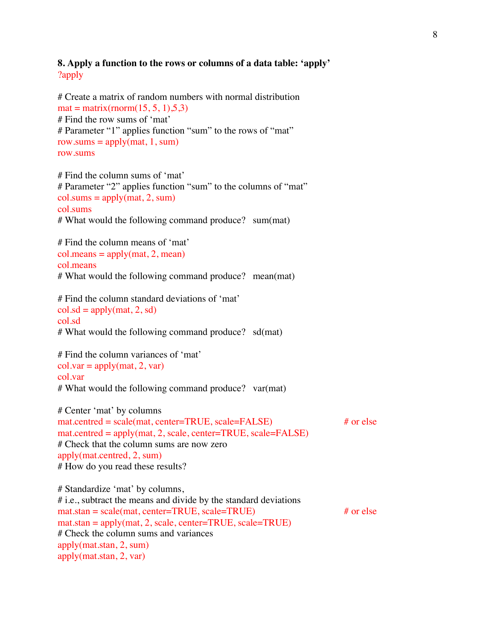## **8. Apply a function to the rows or columns of a data table: 'apply'** ?apply

# Create a matrix of random numbers with normal distribution  $mat = matrix(rnorm(15, 5, 1), 5, 3)$ # Find the row sums of 'mat' # Parameter "1" applies function "sum" to the rows of "mat" row.sums =  $apply(max, 1, sum)$ row.sums # Find the column sums of 'mat' # Parameter "2" applies function "sum" to the columns of "mat"  $col. sums = apply(mat, 2, sum)$ col.sums # What would the following command produce? sum(mat) # Find the column means of 'mat'  $col-means = apply(mat, 2, mean)$ col.means # What would the following command produce? mean(mat) # Find the column standard deviations of 'mat'  $col$ .sd = apply(mat, 2, sd) col.sd # What would the following command produce? sd(mat) # Find the column variances of 'mat'  $col.var = apply(mat, 2, var)$ col.var # What would the following command produce? var(mat) # Center 'mat' by columns mat.centred = scale(mat, center=TRUE, scale=FALSE) # or else mat.centred = apply(mat, 2, scale, center=TRUE, scale=FALSE) # Check that the column sums are now zero apply(mat.centred, 2, sum) # How do you read these results? # Standardize 'mat' by columns, # i.e., subtract the means and divide by the standard deviations  $m$ at.stan = scale(mat, center=TRUE, scale=TRUE)  $\#$  or else  $mat.stan = apply(mat, 2, scale, center = TRUE, scale = TRUE)$ # Check the column sums and variances apply(mat.stan, 2, sum) apply(mat.stan, 2, var)